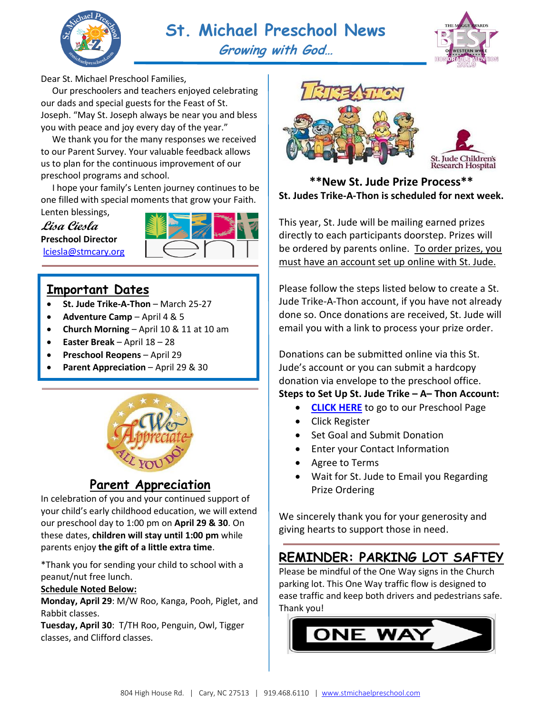



Dear St. Michael Preschool Families,

 Our preschoolers and teachers enjoyed celebrating our dads and special guests for the Feast of St. Joseph. "May St. Joseph always be near you and bless you with peace and joy every day of the year."

 We thank you for the many responses we received to our Parent Survey. Your valuable feedback allows us to plan for the continuous improvement of our preschool programs and school.

 I hope your family's Lenten journey continues to be one filled with special moments that grow your Faith. Lenten blessings,

**Lisa Ciesla Preschool Director** [lciesla@stmcary.org](mailto:lciesla@stmcary.org) 



## **Important Dates**

- **St. Jude Trike-A-Thon** March 25-27
- **Adventure Camp**  April 4 & 5
- **Church Morning** April 10 & 11 at 10 am
- **Easter Break**  April 18 28
- **Preschool Reopens** April 29
- **Parent Appreciation** April 29 & 30



## **Parent Appreciation**

In celebration of you and your continued support of your child's early childhood education, we will extend our preschool day to 1:00 pm on **April 29 & 30**. On these dates, **children will stay until 1:00 pm** while parents enjoy **the gift of a little extra time**.

\*Thank you for sending your child to school with a peanut/nut free lunch.

#### **Schedule Noted Below:**

**Monday, April 29**: M/W Roo, Kanga, Pooh, Piglet, and Rabbit classes.

**Tuesday, April 30**: T/TH Roo, Penguin, Owl, Tigger classes, and Clifford classes.





### **\*\*New St. Jude Prize Process\*\* St. Judes Trike-A-Thon is scheduled for next week.**

This year, St. Jude will be mailing earned prizes directly to each participants doorstep. Prizes will be ordered by parents online. To order prizes, you must have an account set up online with St. Jude.

Please follow the steps listed below to create a St. Jude Trike-A-Thon account, if you have not already done so. Once donations are received, St. Jude will email you with a link to process your prize order.

Donations can be submitted online via this St. Jude's account or you can submit a hardcopy donation via envelope to the preschool office.

### **Steps to Set Up St. Jude Trike – A– Thon Account:**

- **[CLICK HERE](http://fundraising.stjude.org/site/TR/Events/Events?pg=entry&fr_id=97553)** to go to our Preschool Page
- Click Register
- Set Goal and Submit Donation
- Enter your Contact Information
- Agree to Terms
- Wait for St. Jude to Email you Regarding Prize Ordering

We sincerely thank you for your generosity and giving hearts to support those in need.

## **REMINDER: PARKING LOT SAFTEY**

Please be mindful of the One Way signs in the Church parking lot. This One Way traffic flow is designed to ease traffic and keep both drivers and pedestrians safe. Thank you!